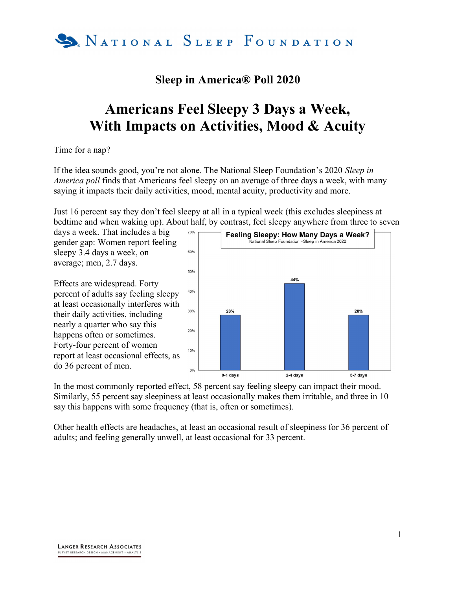

## Sleep in America® Poll 2020

## Americans Feel Sleepy 3 Days a Week, With Impacts on Activities, Mood & Acuity

Time for a nap?

If the idea sounds good, you're not alone. The National Sleep Foundation's 2020 Sleep in America poll finds that Americans feel sleepy on an average of three days a week, with many saying it impacts their daily activities, mood, mental acuity, productivity and more.

Just 16 percent say they don't feel sleepy at all in a typical week (this excludes sleepiness at bedtime and when waking up). About half, by contrast, feel sleepy anywhere from three to seven

days a week. That includes a big gender gap: Women report feeling sleepy 3.4 days a week, on average; men, 2.7 days.

Effects are widespread. Forty percent of adults say feeling sleepy at least occasionally interferes with their daily activities, including nearly a quarter who say this happens often or sometimes. Forty-four percent of women report at least occasional effects, as do 36 percent of men.



In the most commonly reported effect, 58 percent say feeling sleepy can impact their mood. Similarly, 55 percent say sleepiness at least occasionally makes them irritable, and three in 10 say this happens with some frequency (that is, often or sometimes).

Other health effects are headaches, at least an occasional result of sleepiness for 36 percent of adults; and feeling generally unwell, at least occasional for 33 percent.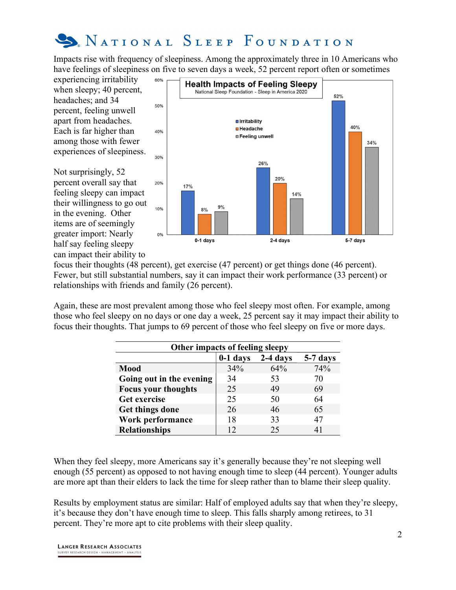

Impacts rise with frequency of sleepiness. Among the approximately three in 10 Americans who have feelings of sleepiness on five to seven days a week, 52 percent report often or sometimes

experiencing irritability when sleepy; 40 percent, headaches; and 34 percent, feeling unwell apart from headaches. Each is far higher than among those with fewer experiences of sleepiness.

Not surprisingly, 52 percent overall say that feeling sleepy can impact their willingness to go out in the evening. Other items are of seemingly greater import: Nearly half say feeling sleepy can impact their ability to



focus their thoughts (48 percent), get exercise (47 percent) or get things done (46 percent). Fewer, but still substantial numbers, say it can impact their work performance (33 percent) or relationships with friends and family (26 percent).

Again, these are most prevalent among those who feel sleepy most often. For example, among those who feel sleepy on no days or one day a week, 25 percent say it may impact their ability to focus their thoughts. That jumps to 69 percent of those who feel sleepy on five or more days.

| Other impacts of feeling sleepy |            |          |          |  |
|---------------------------------|------------|----------|----------|--|
|                                 | $0-1$ days | 2-4 days | 5-7 days |  |
| <b>Mood</b>                     | 34%        | 64%      | 74%      |  |
| Going out in the evening        | 34         | 53       | 70       |  |
| <b>Focus your thoughts</b>      | 25         | 49       | 69       |  |
| Get exercise                    | 25         | 50       | 64       |  |
| Get things done                 | 26         | 46       | 65       |  |
| Work performance                | 18         | 33       | 47       |  |
| <b>Relationships</b>            |            | 25       | 41       |  |

When they feel sleepy, more Americans say it's generally because they're not sleeping well enough (55 percent) as opposed to not having enough time to sleep (44 percent). Younger adults are more apt than their elders to lack the time for sleep rather than to blame their sleep quality.

Results by employment status are similar: Half of employed adults say that when they're sleepy, it's because they don't have enough time to sleep. This falls sharply among retirees, to 31 percent. They're more apt to cite problems with their sleep quality.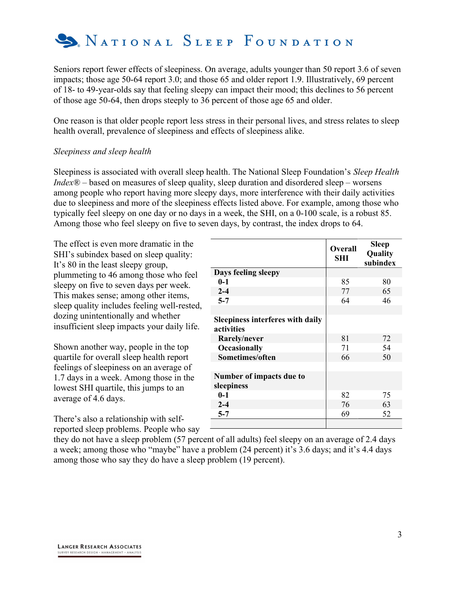

Seniors report fewer effects of sleepiness. On average, adults younger than 50 report 3.6 of seven impacts; those age 50-64 report 3.0; and those 65 and older report 1.9. Illustratively, 69 percent of 18- to 49-year-olds say that feeling sleepy can impact their mood; this declines to 56 percent of those age 50-64, then drops steeply to 36 percent of those age 65 and older.

One reason is that older people report less stress in their personal lives, and stress relates to sleep health overall, prevalence of sleepiness and effects of sleepiness alike.

## Sleepiness and sleep health

Sleepiness is associated with overall sleep health. The National Sleep Foundation's Sleep Health  $Index@ - based on measures of sleep quality, sleep duration and disordered sleep - worsens$ among people who report having more sleepy days, more interference with their daily activities due to sleepiness and more of the sleepiness effects listed above. For example, among those who typically feel sleepy on one day or no days in a week, the SHI, on a 0-100 scale, is a robust 85. Among those who feel sleepy on five to seven days, by contrast, the index drops to 64.

The effect is even more dramatic in the SHI's subindex based on sleep quality: It's 80 in the least sleepy group, plummeting to 46 among those who feel sleepy on five to seven days per week. This makes sense; among other items, sleep quality includes feeling well-rested, dozing unintentionally and whether insufficient sleep impacts your daily life.

Shown another way, people in the top quartile for overall sleep health report feelings of sleepiness on an average of 1.7 days in a week. Among those in the lowest SHI quartile, this jumps to an average of 4.6 days.

There's also a relationship with selfreported sleep problems. People who say

|                                                       | <b>Overall</b><br>SHI | <b>Sleep</b><br>Quality<br>subindex |
|-------------------------------------------------------|-----------------------|-------------------------------------|
| Days feeling sleepy                                   |                       |                                     |
| $0 - 1$                                               | 85                    | 80                                  |
| $2 - 4$                                               | 77                    | 65                                  |
| $5 - 7$                                               | 64                    | 46                                  |
|                                                       |                       |                                     |
| <b>Sleepiness interferes with daily</b><br>activities |                       |                                     |
| Rarely/never                                          | 81                    | 72                                  |
| <b>Occasionally</b>                                   | 71                    | 54                                  |
| Sometimes/often                                       | 66                    | 50                                  |
|                                                       |                       |                                     |
| Number of impacts due to<br>sleepiness                |                       |                                     |
| $0 - 1$                                               | 82                    | 75                                  |
| $2 - 4$                                               | 76                    | 63                                  |
| $5 - 7$                                               | 69                    | 52                                  |
|                                                       |                       |                                     |

they do not have a sleep problem (57 percent of all adults) feel sleepy on an average of 2.4 days a week; among those who "maybe" have a problem (24 percent) it's 3.6 days; and it's 4.4 days among those who say they do have a sleep problem (19 percent).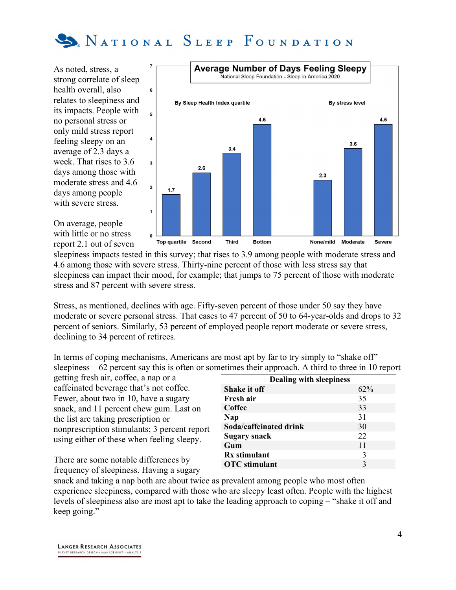

As noted, stress, a strong correlate of sleep health overall, also relates to sleepiness and its impacts. People with no personal stress or only mild stress report feeling sleepy on an average of 2.3 days a week. That rises to 3.6 days among those with moderate stress and 4.6 days among people with severe stress.



On average, people with little or no stress report 2.1 out of seven

sleepiness impacts tested in this survey; that rises to 3.9 among people with moderate stress and 4.6 among those with severe stress. Thirty-nine percent of those with less stress say that sleepiness can impact their mood, for example; that jumps to 75 percent of those with moderate stress and 87 percent with severe stress.

Stress, as mentioned, declines with age. Fifty-seven percent of those under 50 say they have moderate or severe personal stress. That eases to 47 percent of 50 to 64-year-olds and drops to 32 percent of seniors. Similarly, 53 percent of employed people report moderate or severe stress, declining to 34 percent of retirees.

In terms of coping mechanisms, Americans are most apt by far to try simply to "shake off" sleepiness – 62 percent say this is often or sometimes their approach. A third to three in 10 report

getting fresh air, coffee, a nap or a caffeinated beverage that's not coffee. Fewer, about two in 10, have a sugary snack, and 11 percent chew gum. Last on the list are taking prescription or nonprescription stimulants; 3 percent report using either of these when feeling sleepy.

There are some notable differences by frequency of sleepiness. Having a sugary

| <b>Dealing with sleepiness</b> |     |  |  |  |  |  |
|--------------------------------|-----|--|--|--|--|--|
| <b>Shake it off</b>            | 62% |  |  |  |  |  |
| Fresh air                      | 35  |  |  |  |  |  |
| Coffee                         | 33  |  |  |  |  |  |
| Nap                            | 31  |  |  |  |  |  |
| Soda/caffeinated drink         | 30  |  |  |  |  |  |
| <b>Sugary snack</b>            | 22  |  |  |  |  |  |
| Gum                            | 11  |  |  |  |  |  |
| <b>Rx</b> stimulant            | 3   |  |  |  |  |  |
| <b>OTC</b> stimulant           | 3   |  |  |  |  |  |

snack and taking a nap both are about twice as prevalent among people who most often experience sleepiness, compared with those who are sleepy least often. People with the highest levels of sleepiness also are most apt to take the leading approach to coping – "shake it off and keep going."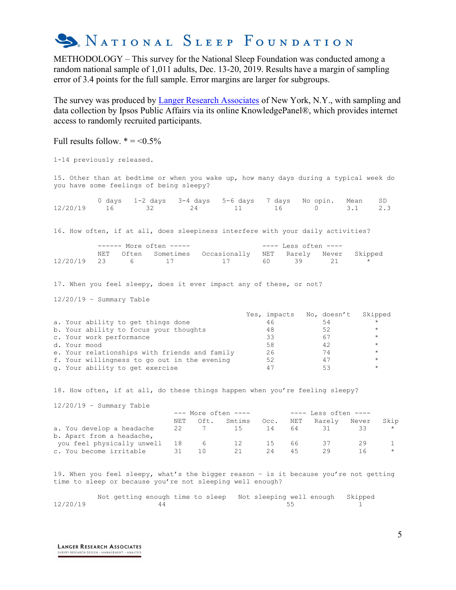

METHODOLOGY – This survey for the National Sleep Foundation was conducted among a random national sample of 1,011 adults, Dec. 13-20, 2019. Results have a margin of sampling error of 3.4 points for the full sample. Error margins are larger for subgroups.

The survey was produced by **Langer Research Associates** of New York, N.Y., with sampling and data collection by Ipsos Public Affairs via its online KnowledgePanel®, which provides internet access to randomly recruited participants.

| Full results follow. $* = 0.5\%$                                                                                                                                                                                                                             |                        |                         |                                                        |                                        |                                                       |                                                                                            |                 |
|--------------------------------------------------------------------------------------------------------------------------------------------------------------------------------------------------------------------------------------------------------------|------------------------|-------------------------|--------------------------------------------------------|----------------------------------------|-------------------------------------------------------|--------------------------------------------------------------------------------------------|-----------------|
| 1-14 previously released.                                                                                                                                                                                                                                    |                        |                         |                                                        |                                        |                                                       |                                                                                            |                 |
| 15. Other than at bedtime or when you wake up, how many days during a typical week do<br>you have some feelings of being sleepy?                                                                                                                             |                        |                         |                                                        |                                        |                                                       |                                                                                            |                 |
| 0 days<br>1-2 days<br>12/20/19<br>16<br>32                                                                                                                                                                                                                   | 24                     | 3-4 days 5-6 days<br>11 | 7 days<br>16                                           | No opin.<br>0                          |                                                       | Mean<br>3.1                                                                                | SD.<br>2.3      |
| 16. How often, if at all, does sleepiness interfere with your daily activities?                                                                                                                                                                              |                        |                         |                                                        |                                        |                                                       |                                                                                            |                 |
| ------ More often -----<br>Often<br>NET<br>12/20/19<br>23<br>6                                                                                                                                                                                               | Sometimes<br>17        | Occasionally<br>17      | NET<br>60                                              | $---$ Less often $---$<br>Rarely<br>39 | Never<br>21                                           | Skipped                                                                                    |                 |
| 17. When you feel sleepy, does it ever impact any of these, or not?                                                                                                                                                                                          |                        |                         |                                                        |                                        |                                                       |                                                                                            |                 |
| $12/20/19$ - Summary Table                                                                                                                                                                                                                                   |                        |                         |                                                        |                                        |                                                       |                                                                                            |                 |
| a. Your ability to get things done<br>b. Your ability to focus your thoughts<br>c. Your work performance<br>d. Your mood<br>e. Your relationships with friends and family<br>f. Your willingness to go out in the evening<br>q. Your ability to get exercise |                        |                         | Yes, impacts<br>46<br>48<br>33<br>58<br>26<br>52<br>47 |                                        | No, doesn't<br>54<br>52<br>67<br>42<br>74<br>47<br>53 | Skipped<br>$^{\star}$<br>$\star$<br>$^{\star}$<br>$\star$<br>$\star$<br>$\star$<br>$\star$ |                 |
| 18. How often, if at all, do these things happen when you're feeling sleepy?                                                                                                                                                                                 |                        |                         |                                                        |                                        |                                                       |                                                                                            |                 |
| $12/20/19$ - Summary Table                                                                                                                                                                                                                                   |                        | $---$ More often $---$  |                                                        | ---- Less often ----                   |                                                       |                                                                                            |                 |
| a. You develop a headache<br>b. Apart from a headache,                                                                                                                                                                                                       | Oft.<br>NET<br>22<br>7 | Smtims<br>15            | Occ.<br>14                                             | NET<br>64                              | Rarely<br>31                                          | Never<br>33                                                                                | Skip<br>$\star$ |
| you feel physically unwell<br>c. You become irritable                                                                                                                                                                                                        | 18<br>- 6<br>31<br>10  | 12<br>21                | 15<br>24                                               | 66<br>45                               | 37<br>29                                              | 29<br>16                                                                                   | 1<br>$\star$    |
| 19. When you feel sleepy, what's the bigger reason - is it because you're not getting                                                                                                                                                                        |                        |                         |                                                        |                                        |                                                       |                                                                                            |                 |

time to sleep or because you're not sleeping well enough?

Not getting enough time to sleep Not sleeping well enough Skipped<br>12/20/19 44 55 12/20/19 44 55 1